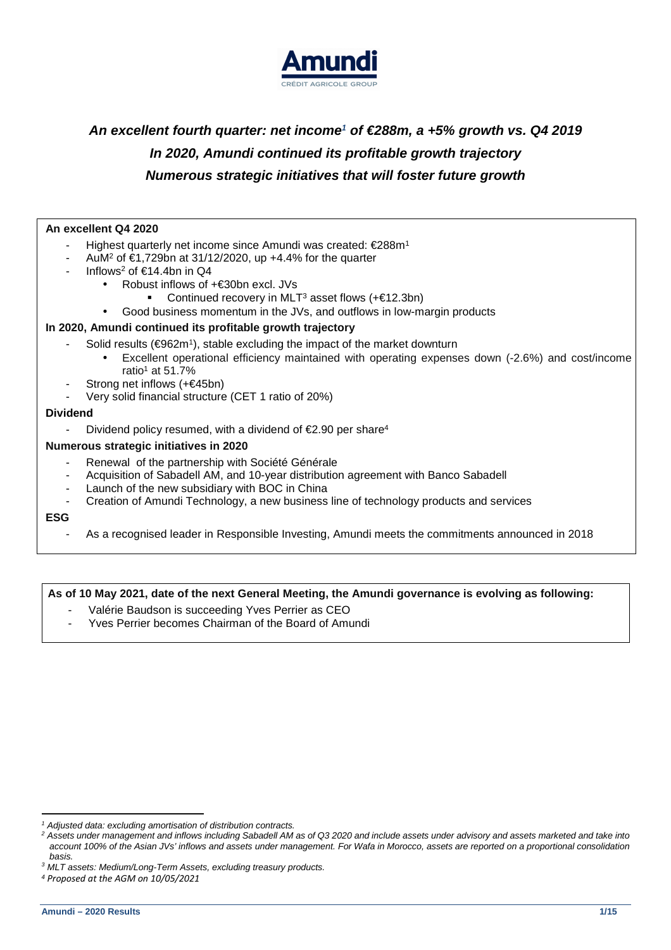

# **An excellent fourth quarter: net income***<sup>1</sup>*  **of €288m, a +5% growth vs. Q4 2019 In 2020, Amundi continued its profitable growth trajectory Numerous strategic initiatives that will foster future growth**

### **An excellent Q4 2020**

- Highest quarterly net income since Amundi was created: €288m<sup>1</sup>
- AuM<sup>2</sup> of €1,729bn at 31/12/2020, up +4.4% for the quarter
- Inflows<sup>2</sup> of  $\epsilon$ 14.4bn in Q4
	- Robust inflows of +€30bn excl. JVs
		- Continued recovery in MLT<sup>3</sup> asset flows  $(+€12.3bn)$
	- Good business momentum in the JVs, and outflows in low-margin products

#### **In 2020, Amundi continued its profitable growth trajectory**

- Solid results (€962m<sup>1</sup>), stable excluding the impact of the market downturn
	- Excellent operational efficiency maintained with operating expenses down (-2.6%) and cost/income ratio<sup>1</sup> at 51.7%
- Strong net inflows (+€45bn)
- Very solid financial structure (CET 1 ratio of 20%)

#### **Dividend**

Dividend policy resumed, with a dividend of  $\epsilon$ 2.90 per share<sup>4</sup>

#### **Numerous strategic initiatives in 2020**

- Renewal of the partnership with Société Générale
- Acquisition of Sabadell AM, and 10-year distribution agreement with Banco Sabadell
- Launch of the new subsidiary with BOC in China
- Creation of Amundi Technology, a new business line of technology products and services

#### **ESG**

- As a recognised leader in Responsible Investing, Amundi meets the commitments announced in 2018

#### **As of 10 May 2021, date of the next General Meeting, the Amundi governance is evolving as following:**

- Valérie Baudson is succeeding Yves Perrier as CEO
- Yves Perrier becomes Chairman of the Board of Amundi

<sup>&</sup>lt;sup>1</sup> Adjusted data: excluding amortisation of distribution contracts.

 $^2$  Assets under management and inflows including Sabadell AM as of Q3 2020 and include assets under advisory and assets marketed and take into account 100% of the Asian JVs' inflows and assets under management. For Wafa in Morocco, assets are reported on a proportional consolidation basis.

<sup>&</sup>lt;sup>3</sup> MLT assets: Medium/Long-Term Assets, excluding treasury products.

*<sup>4</sup> Proposed at the AGM on 10/05/2021*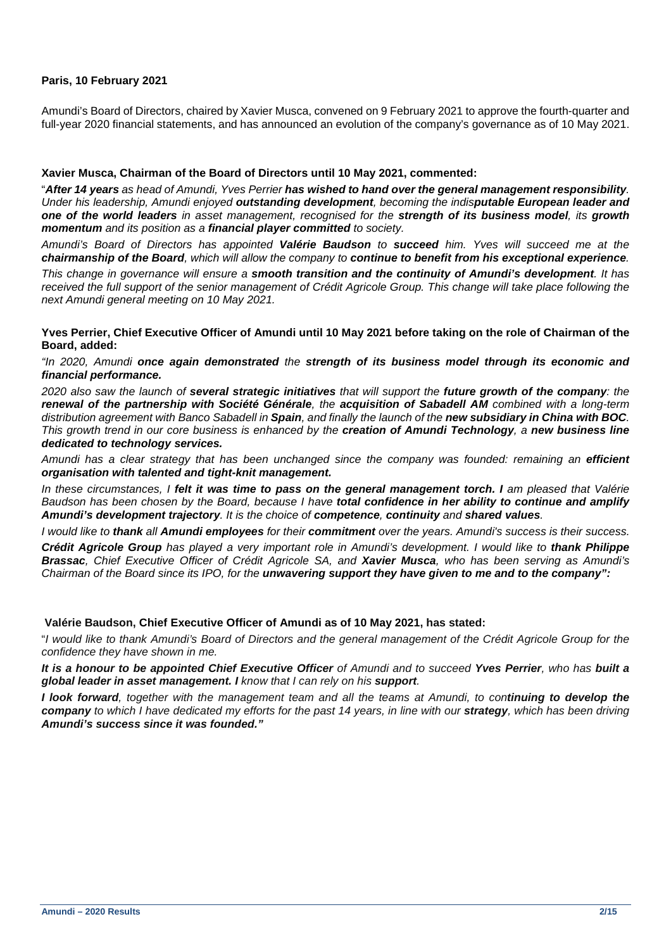### **Paris, 10 February 2021**

Amundi's Board of Directors, chaired by Xavier Musca, convened on 9 February 2021 to approve the fourth-quarter and full-year 2020 financial statements, and has announced an evolution of the company's governance as of 10 May 2021.

#### **Xavier Musca, Chairman of the Board of Directors until 10 May 2021, commented:**

"**After 14 years** as head of Amundi, Yves Perrier **has wished to hand over the general management responsibility**. Under his leadership, Amundi enjoyed **outstanding development**, becoming the indis**putable European leader and one of the world leaders** in asset management, recognised for the **strength of its business model**, its **growth momentum** and its position as a **financial player committed** to society.

Amundi's Board of Directors has appointed **Valérie Baudson** to **succeed** him. Yves will succeed me at the **chairmanship of the Board**, which will allow the company to **continue to benefit from his exceptional experience**.

This change in governance will ensure a **smooth transition and the continuity of Amundi's development**. It has received the full support of the senior management of Crédit Agricole Group. This change will take place following the next Amundi general meeting on 10 May 2021.

**Yves Perrier, Chief Executive Officer of Amundi until 10 May 2021 before taking on the role of Chairman of the Board, added:** 

"In 2020, Amundi **once again demonstrated** the **strength of its business model through its economic and financial performance.** 

2020 also saw the launch of **several strategic initiatives** that will support the **future growth of the company**: the **renewal of the partnership with Société Générale**, the **acquisition of Sabadell AM** combined with a long-term distribution agreement with Banco Sabadell in **Spain**, and finally the launch of the **new subsidiary in China with BOC**. This growth trend in our core business is enhanced by the **creation of Amundi Technology**, a **new business line dedicated to technology services.** 

Amundi has a clear strategy that has been unchanged since the company was founded: remaining an **efficient organisation with talented and tight-knit management.** 

In these circumstances, I **felt it was time to pass on the general management torch. I** am pleased that Valérie Baudson has been chosen by the Board, because I have **total confidence in her ability to continue and amplify Amundi's development trajectory**. It is the choice of **competence**, **continuity** and **shared values**.

I would like to **thank** all **Amundi employees** for their **commitment** over the years. Amundi's success is their success.

**Crédit Agricole Group** has played a very important role in Amundi's development. I would like to **thank Philippe Brassac**, Chief Executive Officer of Crédit Agricole SA, and **Xavier Musca**, who has been serving as Amundi's Chairman of the Board since its IPO, for the **unwavering support they have given to me and to the company":** 

#### **Valérie Baudson, Chief Executive Officer of Amundi as of 10 May 2021, has stated:**

"I would like to thank Amundi's Board of Directors and the general management of the Crédit Agricole Group for the confidence they have shown in me.

**It is a honour to be appointed Chief Executive Officer** of Amundi and to succeed **Yves Perrier**, who has **built a global leader in asset management. I** know that I can rely on his **support**.

**I look forward**, together with the management team and all the teams at Amundi, to con**tinuing to develop the company** to which I have dedicated my efforts for the past 14 years, in line with our **strategy**, which has been driving **Amundi's success since it was founded."**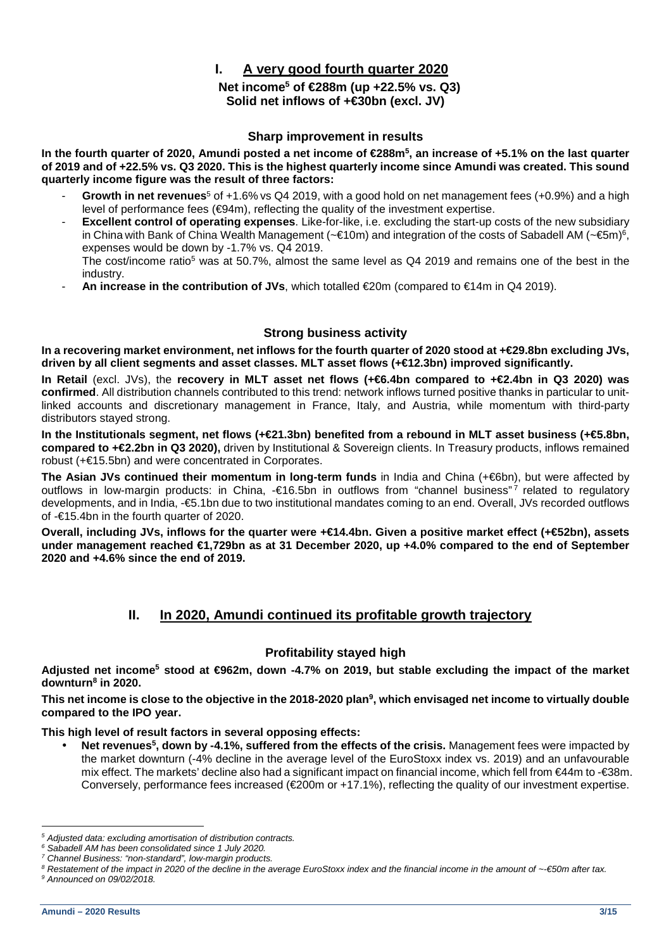# **I. A very good fourth quarter 2020**

# **Net income<sup>5</sup> of €288m (up +22.5% vs. Q3) Solid net inflows of +€30bn (excl. JV)**

## **Sharp improvement in results**

**In the fourth quarter of 2020, Amundi posted a net income of €288m<sup>5</sup> , an increase of +5.1% on the last quarter of 2019 and of +22.5% vs. Q3 2020. This is the highest quarterly income since Amundi was created. This sound quarterly income figure was the result of three factors:** 

- **Growth in net revenues**<sup>5</sup> of +1.6% vs Q4 2019, with a good hold on net management fees (+0.9%) and a high level of performance fees  $(\epsilon 94m)$ , reflecting the quality of the investment expertise.
- **Excellent control of operating expenses.** Like-for-like, i.e. excluding the start-up costs of the new subsidiary in China with Bank of China Wealth Management (~€10m) and integration of the œsts of Sabadell AM (~€5m)<sup>6</sup>, expenses would be down by -1.7% vs. Q4 2019. The cost/income ratio<sup>5</sup> was at 50.7%, almost the same level as Q4 2019 and remains one of the best in the industry.
- **An increase in the contribution of JVs**, which totalled €20m (compared to €14m in Q4 2019).

## **Strong business activity**

**In a recovering market environment, net inflows for the fourth quarter of 2020 stood at +€29.8bn excluding JVs, driven by all client segments and asset classes. MLT asset flows (+€12.3bn) improved significantly.**

**In Retail** (excl. JVs), the **recovery in MLT asset net flows (+€6.4bn compared to +€2.4bn in Q3 2020) was confirmed**. All distribution channels contributed to this trend: network inflows turned positive thanks in particular to unitlinked accounts and discretionary management in France, Italy, and Austria, while momentum with third-party distributors stayed strong.

**In the Institutionals segment, net flows (+€21.3bn) benefited from a rebound in MLT asset business (+€5.8bn, compared to +€2.2bn in Q3 2020),** driven by Institutional & Sovereign clients. In Treasury products, inflows remained robust (+€15.5bn) and were concentrated in Corporates.

**The Asian JVs continued their momentum in long-term funds** in India and China (+€6bn), but were affected by outflows in low-margin products: in China, -€16.5bn in outflows from "channel business"7 related to regulatory developments, and in India, -€5.1bn due to two institutional mandates coming to an end. Overall, JVs recorded outflows of -€15.4bn in the fourth quarter of 2020.

**Overall, including JVs, inflows for the quarter were +€14.4bn. Given a positive market effect (+€52bn), assets under management reached €1,729bn as at 31 December 2020, up +4.0% compared to the end of September 2020 and +4.6% since the end of 2019.** 

# **II. In 2020, Amundi continued its profitable growth trajectory**

## **Profitability stayed high**

**Adjusted net income<sup>5</sup> stood at €962m, down -4.7% on 2019, but stable excluding the impact of the market downturn<sup>8</sup> in 2020.** 

**This net income is close to the objective in the 2018-2020 plan<sup>9</sup> , which envisaged net income to virtually double compared to the IPO year.** 

**This high level of result factors in several opposing effects:** 

• **Net revenues<sup>5</sup> , down by -4.1%, suffered from the effects of the crisis.** Management fees were impacted by the market downturn (-4% decline in the average level of the EuroStoxx index vs. 2019) and an unfavourable mix effect. The markets' decline also had a significant impact on financial income, which fell from €44m to -€38m. Conversely, performance fees increased (€200m or +17.1%), reflecting the quality of our investment expertise.

<sup>&</sup>lt;sup>5</sup> Adjusted data: excluding amortisation of distribution contracts.

<sup>6</sup> Sabadell AM has been consolidated since 1 July 2020.

<sup>&</sup>lt;sup>7</sup> Channel Business: "non-standard", low-margin products.

 $^8$  Restatement of the impact in 2020 of the decline in the average EuroStoxx index and the financial income in the amount of ∼€50m after tax.

<sup>&</sup>lt;sup>9</sup> Announced on 09/02/2018.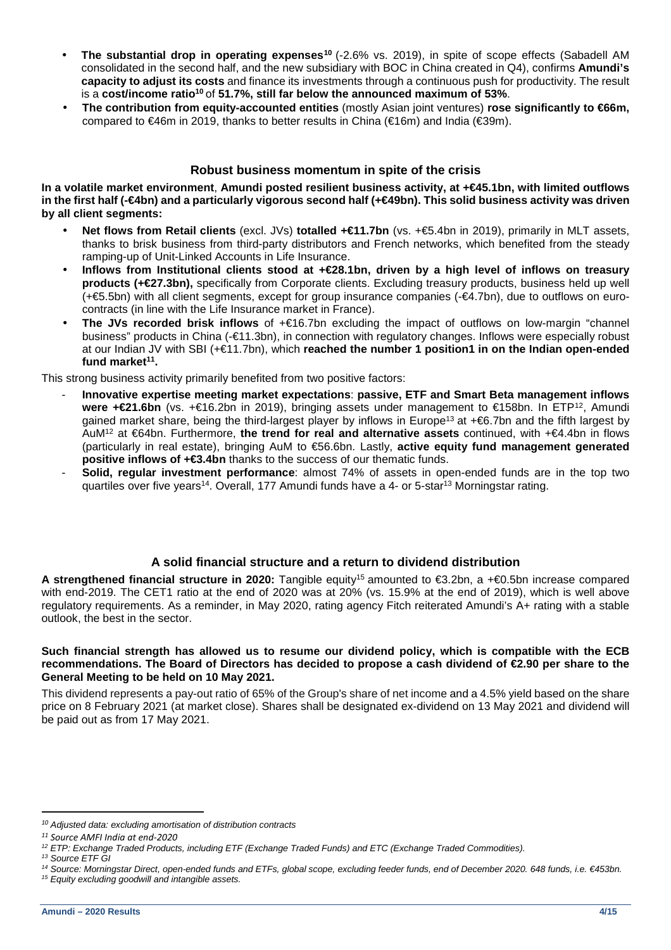- **The substantial drop in operating expenses<sup>10</sup>** (-2.6% vs. 2019), in spite of scope effects (Sabadell AM consolidated in the second half, and the new subsidiary with BOC in China created in Q4), confirms **Amundi's capacity to adjust its costs** and finance its investments through a continuous push for productivity. The result is a **cost/income ratio<sup>10</sup>** of **51.7%, still far below the announced maximum of 53%**.
- **The contribution from equity-accounted entities** (mostly Asian joint ventures) **rose significantly to €66m,** compared to  $\in 46$ m in 2019, thanks to better results in China ( $\in 16$ m) and India ( $\in 39$ m).

## **Robust business momentum in spite of the crisis**

**In a volatile market environment**, **Amundi posted resilient business activity, at +€45.1bn, with limited outflows**  in the first half (-€4bn) and a particularly vigorous second half (+€49bn). This solid business activity was driven **by all client segments:** 

- **Net flows from Retail clients** (excl. JVs) **totalled +€11.7bn** (vs. +€5.4bn in 2019), primarily in MLT assets, thanks to brisk business from third-party distributors and French networks, which benefited from the steady ramping-up of Unit-Linked Accounts in Life Insurance.
- **Inflows from Institutional clients stood at +€28.1bn, driven by a high level of inflows on treasury products (+€27.3bn),** specifically from Corporate clients. Excluding treasury products, business held up well (+€5.5bn) with all client segments, except for group insurance companies (-€4.7bn), due to outflows on eurocontracts (in line with the Life Insurance market in France).
- **The JVs recorded brisk inflows** of +€16.7bn excluding the impact of outflows on low-margin "channel business" products in China (-€11.3bn), in connection with regulatory changes. Inflows were especially robust at our Indian JV with SBI (+€11.7bn), which **reached the number 1 position1 in on the Indian open-ended fund market<sup>11</sup> .**

This strong business activity primarily benefited from two positive factors:

- **Innovative expertise meeting market expectations**: **passive, ETF and Smart Beta management inflows were +€21.6bn** (vs. +€16.2bn in 2019), bringing assets under management to €158bn. In ETP<sup>12</sup>, Amundi gained market share, being the third-largest player by inflows in Europe<sup>13</sup> at +€6.7bn and the fifth largest by AuM<sup>12</sup> at €64bn. Furthermore, **the trend for real and alternative assets** continued, with +€4.4bn in flows (particularly in real estate), bringing AuM to €56.6bn. Lastly, **active equity fund management generated positive inflows of +€3.4bn** thanks to the success of our thematic funds.
- **Solid, regular investment performance**: almost 74% of assets in open-ended funds are in the top two quartiles over five years<sup>14</sup>. Overall, 177 Amundi funds have a 4- or 5-star<sup>13</sup> Morningstar rating.

## **A solid financial structure and a return to dividend distribution**

**A strengthened financial structure in 2020:** Tangible equity<sup>15</sup> amounted to €3.2bn, a +€0.5bn increase compared with end-2019. The CET1 ratio at the end of 2020 was at 20% (vs. 15.9% at the end of 2019), which is well above regulatory requirements. As a reminder, in May 2020, rating agency Fitch reiterated Amundi's A+ rating with a stable outlook, the best in the sector.

#### **Such financial strength has allowed us to resume our dividend policy, which is compatible with the ECB recommendations. The Board of Directors has decided to propose a cash dividend of €2.90 per share to the General Meeting to be held on 10 May 2021.**

This dividend represents a pay-out ratio of 65% of the Group's share of net income and a 4.5% yield based on the share price on 8 February 2021 (at market close). Shares shall be designated ex-dividend on 13 May 2021 and dividend will be paid out as from 17 May 2021.

*<sup>10</sup>* Adjusted data: excluding amortisation of distribution contracts

*<sup>11</sup> Source AMFI India at end-2020* 

 $12$  ETP: Exchange Traded Products, including ETF (Exchange Traded Funds) and ETC (Exchange Traded Commodities).

<sup>&</sup>lt;sup>13</sup> Source ETF GI

<sup>14</sup> Source: Morningstar Direct, open-ended funds and ETFs, global scope, excluding feeder funds, end of December 2020. 648 funds, i.e. €453bn. <sup>15</sup> Equity excluding goodwill and intangible assets.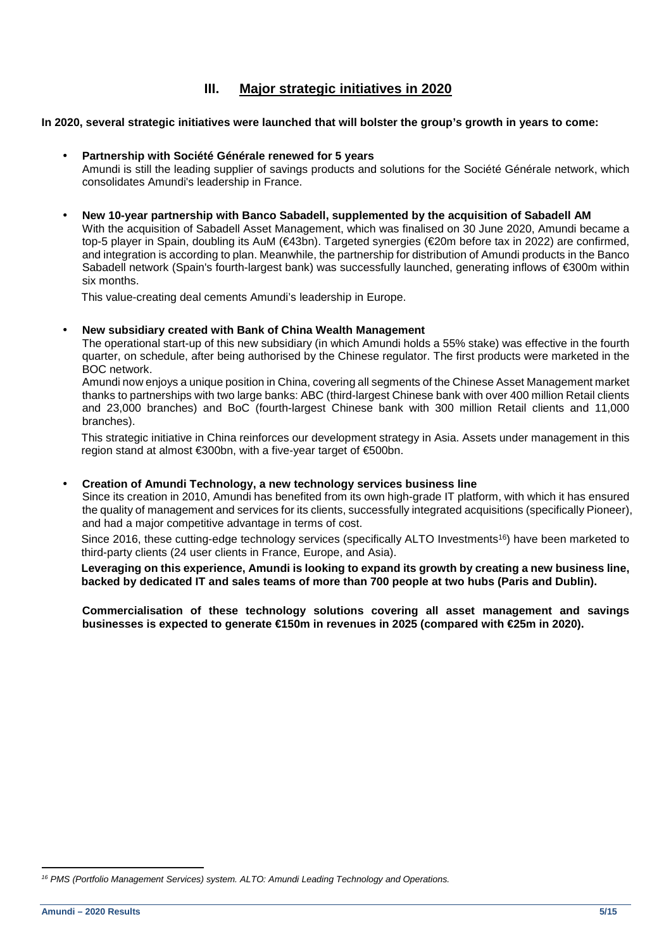# **III. Major strategic initiatives in 2020**

#### **In 2020, several strategic initiatives were launched that will bolster the group's growth in years to come:**

## • **Partnership with Société Générale renewed for 5 years**

Amundi is still the leading supplier of savings products and solutions for the Société Générale network, which consolidates Amundi's leadership in France.

• **New 10-year partnership with Banco Sabadell, supplemented by the acquisition of Sabadell AM**  With the acquisition of Sabadell Asset Management, which was finalised on 30 June 2020, Amundi became a top-5 player in Spain, doubling its AuM (€43bn). Targeted synergies (€20m before tax in 2022) are confirmed, and integration is according to plan. Meanwhile, the partnership for distribution of Amundi products in the Banco Sabadell network (Spain's fourth-largest bank) was successfully launched, generating inflows of €300m within six months.

This value-creating deal cements Amundi's leadership in Europe.

#### • **New subsidiary created with Bank of China Wealth Management**

The operational start-up of this new subsidiary (in which Amundi holds a 55% stake) was effective in the fourth quarter, on schedule, after being authorised by the Chinese regulator. The first products were marketed in the BOC network.

Amundi now enjoys a unique position in China, covering all segments of the Chinese Asset Management market thanks to partnerships with two large banks: ABC (third-largest Chinese bank with over 400 million Retail clients and 23,000 branches) and BoC (fourth-largest Chinese bank with 300 million Retail clients and 11,000 branches).

This strategic initiative in China reinforces our development strategy in Asia. Assets under management in this region stand at almost €300bn, with a five-year target of €500bn.

#### • **Creation of Amundi Technology, a new technology services business line**

Since its creation in 2010, Amundi has benefited from its own high-grade IT platform, with which it has ensured the quality of management and services for its clients, successfully integrated acquisitions (specifically Pioneer), and had a major competitive advantage in terms of cost.

Since 2016, these cutting-edge technology services (specifically ALTO Investments<sup>16</sup>) have been marketed to third-party clients (24 user clients in France, Europe, and Asia).

**Leveraging on this experience, Amundi is looking to expand its growth by creating a new business line, backed by dedicated IT and sales teams of more than 700 people at two hubs (Paris and Dublin).** 

**Commercialisation of these technology solutions covering all asset management and savings businesses is expected to generate €150m in revenues in 2025 (compared with €25m in 2020).** 

 $16$  PMS (Portfolio Management Services) system. ALTO: Amundi Leading Technology and Operations.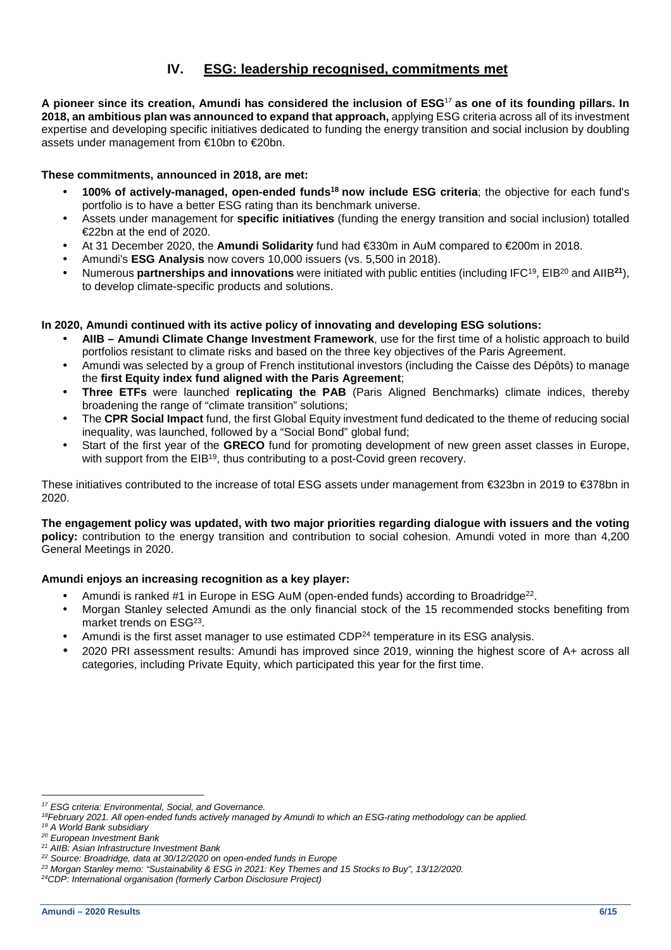# **IV. ESG: leadership recognised, commitments met**

**A pioneer since its creation, Amundi has considered the inclusion of ESG**<sup>17</sup> **as one of its founding pillars. In 2018, an ambitious plan was announced to expand that approach,** applying ESG criteria across all of its investment expertise and developing specific initiatives dedicated to funding the energy transition and social inclusion by doubling assets under management from €10bn to €20bn.

### **These commitments, announced in 2018, are met:**

- **100% of actively-managed, open-ended funds<sup>18</sup> now include ESG criteria**; the objective for each fund's portfolio is to have a better ESG rating than its benchmark universe.
- Assets under management for **specific initiatives** (funding the energy transition and social inclusion) totalled €22bn at the end of 2020.
- At 31 December 2020, the **Amundi Solidarity** fund had €330m in AuM compared to €200m in 2018.
- Amundi's **ESG Analysis** now covers 10,000 issuers (vs. 5,500 in 2018).
- Numerous **partnerships and innovations** were initiated with public entities (including IFC<sup>19</sup>, EIB<sup>20</sup> and AIIB**<sup>21</sup>**), to develop climate-specific products and solutions.

## **In 2020, Amundi continued with its active policy of innovating and developing ESG solutions:**

- **AIIB Amundi Climate Change Investment Framework**, use for the first time of a holistic approach to build portfolios resistant to climate risks and based on the three key objectives of the Paris Agreement.
- Amundi was selected by a group of French institutional investors (including the Caisse des Dépôts) to manage the **first Equity index fund aligned with the Paris Agreement**;
- **Three ETFs** were launched **replicating the PAB** (Paris Aligned Benchmarks) climate indices, thereby broadening the range of "climate transition" solutions;
- The **CPR Social Impact** fund, the first Global Equity investment fund dedicated to the theme of reducing social inequality, was launched, followed by a "Social Bond" global fund;
- Start of the first year of the **GRECO** fund for promoting development of new green asset classes in Europe, with support from the EIB<sup>19</sup>, thus contributing to a post-Covid green recovery.

These initiatives contributed to the increase of total ESG assets under management from €323bn in 2019 to €378bn in 2020.

**The engagement policy was updated, with two major priorities regarding dialogue with issuers and the voting policy:** contribution to the energy transition and contribution to social cohesion. Amundi voted in more than 4,200 General Meetings in 2020.

## **Amundi enjoys an increasing recognition as a key player:**

- Amundi is ranked #1 in Europe in ESG AuM (open-ended funds) according to Broadridge<sup>22</sup>.
- Morgan Stanley selected Amundi as the only financial stock of the 15 recommended stocks benefiting from market trends on ESG<sup>23</sup>.
- Amundi is the first asset manager to use estimated CDP<sup>24</sup> temperature in its ESG analysis.
- 2020 PRI assessment results: Amundi has improved since 2019, winning the highest score of A+ across all categories, including Private Equity, which participated this year for the first time.

<sup>&</sup>lt;sup>17</sup> ESG criteria: Environmental, Social, and Governance.

 $18$ February 2021. All open-ended funds actively managed by Amundi to which an ESG-rating methodology can be applied.

<sup>19</sup> A World Bank subsidiary

<sup>&</sup>lt;sup>20</sup> European Investment Bank

<sup>&</sup>lt;sup>21</sup> AIIB: Asian Infrastructure Investment Bank

<sup>&</sup>lt;sup>22</sup> Source: Broadridge, data at 30/12/2020 on open-ended funds in Europe

<sup>&</sup>lt;sup>23</sup> Morgan Stanley memo: "Sustainability & ESG in 2021: Key Themes and 15 Stocks to Buy", 13/12/2020.

<sup>24</sup>CDP: International organisation (formerly Carbon Disclosure Project)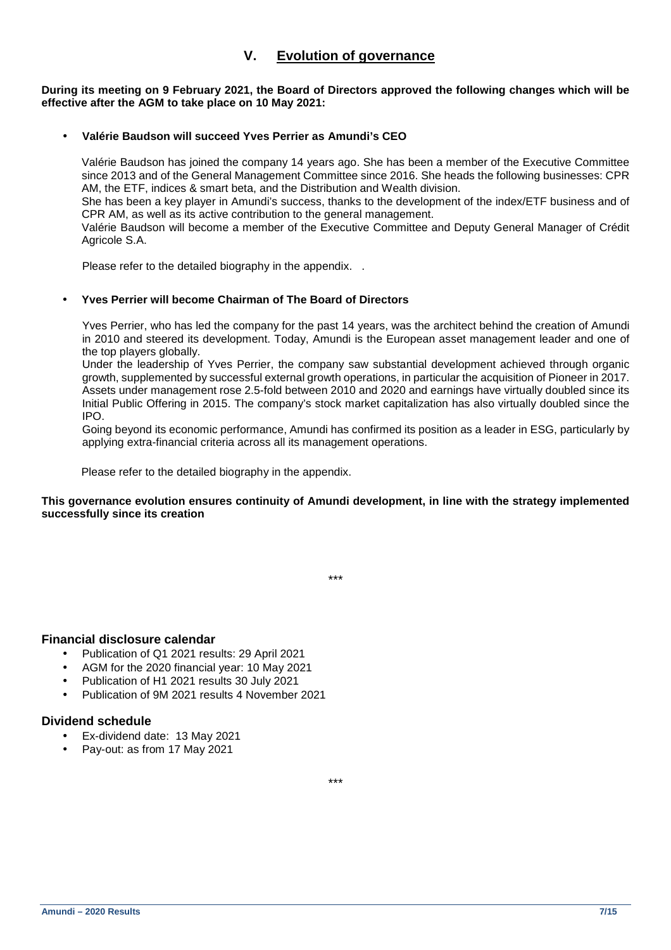# **V. Evolution of governance**

**During its meeting on 9 February 2021, the Board of Directors approved the following changes which will be effective after the AGM to take place on 10 May 2021:** 

### • **Valérie Baudson will succeed Yves Perrier as Amundi's CEO**

Valérie Baudson has joined the company 14 years ago. She has been a member of the Executive Committee since 2013 and of the General Management Committee since 2016. She heads the following businesses: CPR AM, the ETF, indices & smart beta, and the Distribution and Wealth division. She has been a key player in Amundi's success, thanks to the development of the index/ETF business and of

CPR AM, as well as its active contribution to the general management.

Valérie Baudson will become a member of the Executive Committee and Deputy General Manager of Crédit Agricole S.A.

Please refer to the detailed biography in the appendix. .

#### • **Yves Perrier will become Chairman of The Board of Directors**

Yves Perrier, who has led the company for the past 14 years, was the architect behind the creation of Amundi in 2010 and steered its development. Today, Amundi is the European asset management leader and one of the top players globally.

Under the leadership of Yves Perrier, the company saw substantial development achieved through organic growth, supplemented by successful external growth operations, in particular the acquisition of Pioneer in 2017. Assets under management rose 2.5-fold between 2010 and 2020 and earnings have virtually doubled since its Initial Public Offering in 2015. The company's stock market capitalization has also virtually doubled since the IPO.

Going beyond its economic performance, Amundi has confirmed its position as a leader in ESG, particularly by applying extra-financial criteria across all its management operations.

Please refer to the detailed biography in the appendix.

#### **This governance evolution ensures continuity of Amundi development, in line with the strategy implemented successfully since its creation**

\*\*\*

# **Financial disclosure calendar**

- Publication of Q1 2021 results: 29 April 2021
- AGM for the 2020 financial year: 10 May 2021
- Publication of H1 2021 results 30 July 2021
- Publication of 9M 2021 results 4 November 2021

# **Dividend schedule**

- Ex-dividend date: 13 May 2021
- Pay-out: as from 17 May 2021

\*\*\*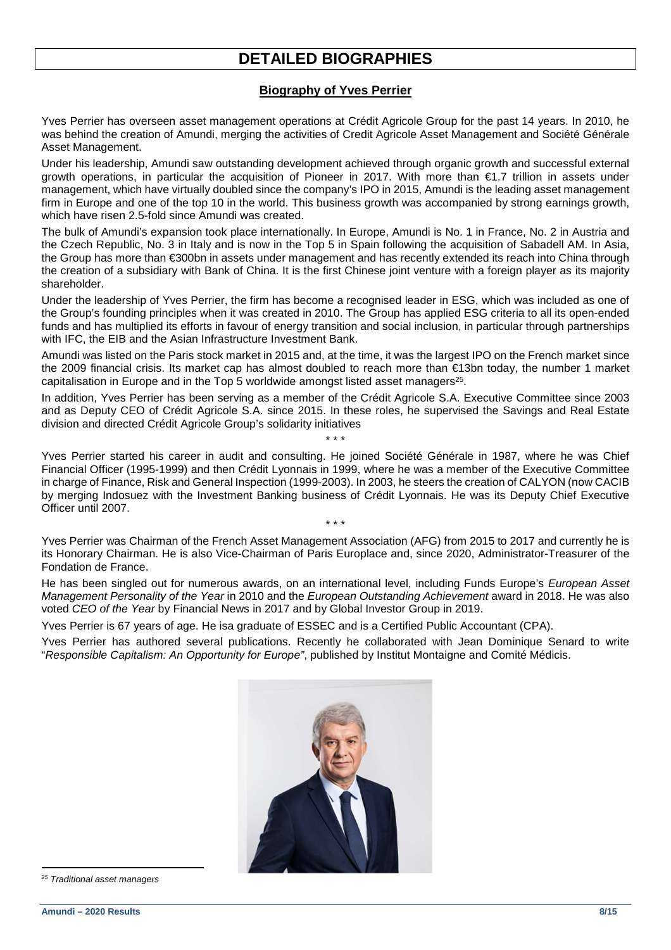# **DETAILED BIOGRAPHIES**

# **Biography of Yves Perrier**

Yves Perrier has overseen asset management operations at Crédit Agricole Group for the past 14 years. In 2010, he was behind the creation of Amundi, merging the activities of Credit Agricole Asset Management and Société Générale Asset Management.

Under his leadership, Amundi saw outstanding development achieved through organic growth and successful external growth operations, in particular the acquisition of Pioneer in 2017. With more than €1.7 trillion in assets under management, which have virtually doubled since the company's IPO in 2015, Amundi is the leading asset management firm in Europe and one of the top 10 in the world. This business growth was accompanied by strong earnings growth, which have risen 2.5-fold since Amundi was created.

The bulk of Amundi's expansion took place internationally. In Europe, Amundi is No. 1 in France, No. 2 in Austria and the Czech Republic, No. 3 in Italy and is now in the Top 5 in Spain following the acquisition of Sabadell AM. In Asia, the Group has more than €300bn in assets under management and has recently extended its reach into China through the creation of a subsidiary with Bank of China. It is the first Chinese joint venture with a foreign player as its majority shareholder.

Under the leadership of Yves Perrier, the firm has become a recognised leader in ESG, which was included as one of the Group's founding principles when it was created in 2010. The Group has applied ESG criteria to all its open-ended funds and has multiplied its efforts in favour of energy transition and social inclusion, in particular through partnerships with IFC, the EIB and the Asian Infrastructure Investment Bank.

Amundi was listed on the Paris stock market in 2015 and, at the time, it was the largest IPO on the French market since the 2009 financial crisis. Its market cap has almost doubled to reach more than €13bn today, the number 1 market capitalisation in Europe and in the Top 5 worldwide amongst listed asset managers<sup>25</sup>.

In addition, Yves Perrier has been serving as a member of the Crédit Agricole S.A. Executive Committee since 2003 and as Deputy CEO of Crédit Agricole S.A. since 2015. In these roles, he supervised the Savings and Real Estate division and directed Crédit Agricole Group's solidarity initiatives

\* \* \*

Yves Perrier started his career in audit and consulting. He joined Société Générale in 1987, where he was Chief Financial Officer (1995-1999) and then Crédit Lyonnais in 1999, where he was a member of the Executive Committee in charge of Finance, Risk and General Inspection (1999-2003). In 2003, he steers the creation of CALYON (now CACIB by merging Indosuez with the Investment Banking business of Crédit Lyonnais. He was its Deputy Chief Executive Officer until 2007.

Yves Perrier was Chairman of the French Asset Management Association (AFG) from 2015 to 2017 and currently he is its Honorary Chairman. He is also Vice-Chairman of Paris Europlace and, since 2020, Administrator-Treasurer of the Fondation de France.

\* \* \*

He has been singled out for numerous awards, on an international level, including Funds Europe's European Asset Management Personality of the Year in 2010 and the European Outstanding Achievement award in 2018. He was also voted CEO of the Year by Financial News in 2017 and by Global Investor Group in 2019.

Yves Perrier is 67 years of age. He isa graduate of ESSEC and is a Certified Public Accountant (CPA).

Yves Perrier has authored several publications. Recently he collaborated with Jean Dominique Senard to write "Responsible Capitalism: An Opportunity for Europe", published by Institut Montaigne and Comité Médicis.



<sup>&</sup>lt;sup>25</sup> Traditional asset managers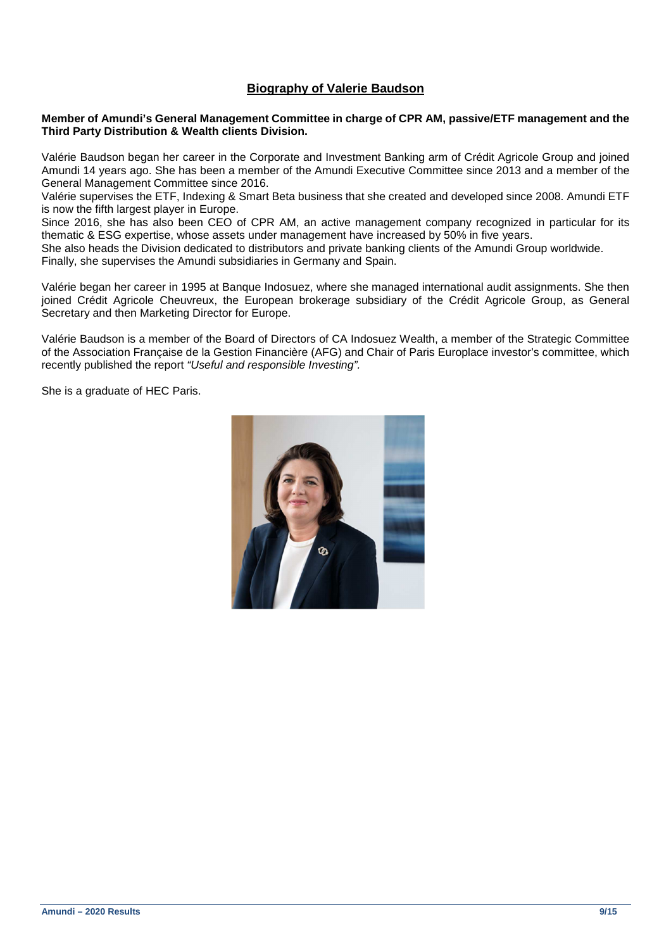# **Biography of Valerie Baudson**

#### **Member of Amundi's General Management Committee in charge of CPR AM, passive/ETF management and the Third Party Distribution & Wealth clients Division.**

Valérie Baudson began her career in the Corporate and Investment Banking arm of Crédit Agricole Group and joined Amundi 14 years ago. She has been a member of the Amundi Executive Committee since 2013 and a member of the General Management Committee since 2016.

Valérie supervises the ETF, Indexing & Smart Beta business that she created and developed since 2008. Amundi ETF is now the fifth largest player in Europe.

Since 2016, she has also been CEO of CPR AM, an active management company recognized in particular for its thematic & ESG expertise, whose assets under management have increased by 50% in five years.

She also heads the Division dedicated to distributors and private banking clients of the Amundi Group worldwide. Finally, she supervises the Amundi subsidiaries in Germany and Spain.

Valérie began her career in 1995 at Banque Indosuez, where she managed international audit assignments. She then joined Crédit Agricole Cheuvreux, the European brokerage subsidiary of the Crédit Agricole Group, as General Secretary and then Marketing Director for Europe.

Valérie Baudson is a member of the Board of Directors of CA Indosuez Wealth, a member of the Strategic Committee of the Association Française de la Gestion Financière (AFG) and Chair of Paris Europlace investor's committee, which recently published the report "Useful and responsible Investing".

She is a graduate of HEC Paris.

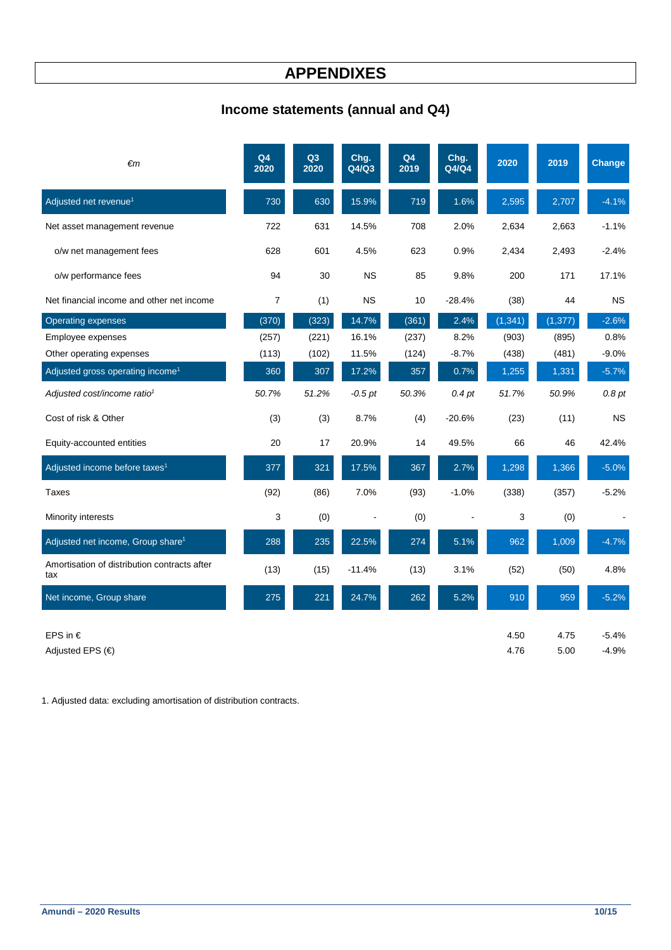# **APPENDIXES**

# **Income statements (annual and Q4)**

| $\epsilon$ m                                        | Q <sub>4</sub><br>2020 | Q3<br>2020 | Chg.<br>Q4/Q3 | Q4<br>2019 | Chg.<br>Q4/Q4 | 2020         | 2019         | Change             |
|-----------------------------------------------------|------------------------|------------|---------------|------------|---------------|--------------|--------------|--------------------|
| Adjusted net revenue <sup>1</sup>                   | 730                    | 630        | 15.9%         | 719        | 1.6%          | 2,595        | 2,707        | $-4.1%$            |
| Net asset management revenue                        | 722                    | 631        | 14.5%         | 708        | 2.0%          | 2,634        | 2,663        | $-1.1%$            |
| o/w net management fees                             | 628                    | 601        | 4.5%          | 623        | 0.9%          | 2,434        | 2,493        | $-2.4%$            |
| o/w performance fees                                | 94                     | 30         | <b>NS</b>     | 85         | 9.8%          | 200          | 171          | 17.1%              |
| Net financial income and other net income           | 7                      | (1)        | <b>NS</b>     | 10         | $-28.4%$      | (38)         | 44           | <b>NS</b>          |
| <b>Operating expenses</b>                           | (370)                  | (323)      | 14.7%         | (361)      | 2.4%          | (1, 341)     | (1, 377)     | $-2.6%$            |
| Employee expenses                                   | (257)                  | (221)      | 16.1%         | (237)      | 8.2%          | (903)        | (895)        | 0.8%               |
| Other operating expenses                            | (113)                  | (102)      | 11.5%         | (124)      | $-8.7%$       | (438)        | (481)        | $-9.0%$            |
| Adjusted gross operating income <sup>1</sup>        | 360                    | 307        | 17.2%         | 357        | 0.7%          | 1,255        | 1,331        | $-5.7%$            |
| Adjusted cost/income ratio <sup>1</sup>             | 50.7%                  | 51.2%      | $-0.5$ pt     | 50.3%      | $0.4$ pt      | 51.7%        | 50.9%        | 0.8 pt             |
| Cost of risk & Other                                | (3)                    | (3)        | 8.7%          | (4)        | $-20.6%$      | (23)         | (11)         | <b>NS</b>          |
| Equity-accounted entities                           | 20                     | 17         | 20.9%         | 14         | 49.5%         | 66           | 46           | 42.4%              |
| Adjusted income before taxes <sup>1</sup>           | 377                    | 321        | 17.5%         | 367        | 2.7%          | 1,298        | 1,366        | $-5.0%$            |
| Taxes                                               | (92)                   | (86)       | 7.0%          | (93)       | $-1.0%$       | (338)        | (357)        | $-5.2%$            |
| Minority interests                                  | 3                      | (0)        |               | (0)        |               | 3            | (0)          |                    |
| Adjusted net income, Group share <sup>1</sup>       | 288                    | 235        | 22.5%         | 274        | 5.1%          | 962          | 1,009        | $-4.7%$            |
| Amortisation of distribution contracts after<br>tax | (13)                   | (15)       | $-11.4%$      | (13)       | 3.1%          | (52)         | (50)         | 4.8%               |
| Net income, Group share                             | 275                    | 221        | 24.7%         | 262        | 5.2%          | 910          | 959          | $-5.2%$            |
| EPS in $\epsilon$<br>Adjusted EPS $(\epsilon)$      |                        |            |               |            |               | 4.50<br>4.76 | 4.75<br>5.00 | $-5.4%$<br>$-4.9%$ |

1. Adjusted data: excluding amortisation of distribution contracts.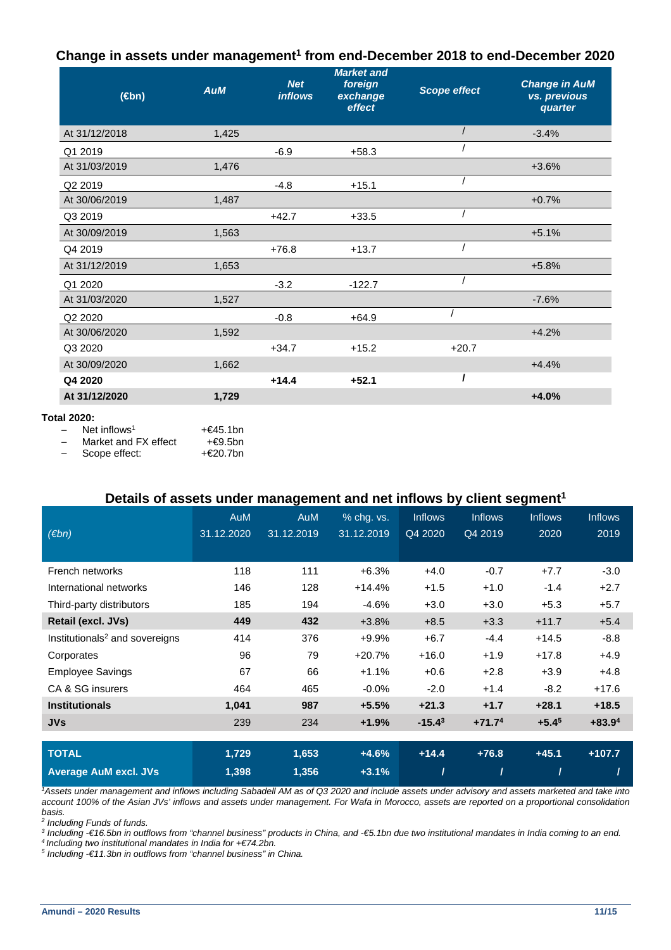# **Change in assets under management<sup>1</sup> from end-December 2018 to end-December 2020**

| $(\in$ bn)                                     | <b>AuM</b> | <b>Net</b><br><b>inflows</b> | <b>Market and</b><br>foreign<br>exchange<br>effect | <b>Scope effect</b> | <b>Change in AuM</b><br>vs. previous<br>quarter |
|------------------------------------------------|------------|------------------------------|----------------------------------------------------|---------------------|-------------------------------------------------|
| At 31/12/2018                                  | 1,425      |                              |                                                    |                     | $-3.4%$                                         |
| Q1 2019                                        |            | $-6.9$                       | $+58.3$                                            |                     |                                                 |
| At 31/03/2019                                  | 1.476      |                              |                                                    |                     | $+3.6%$                                         |
| Q <sub>2</sub> 2019                            |            | $-4.8$                       | $+15.1$                                            |                     |                                                 |
| At 30/06/2019                                  | 1,487      |                              |                                                    |                     | $+0.7%$                                         |
| Q3 2019                                        |            | $+42.7$                      | $+33.5$                                            |                     |                                                 |
| At 30/09/2019                                  | 1,563      |                              |                                                    |                     | $+5.1%$                                         |
| Q4 2019                                        |            | $+76.8$                      | $+13.7$                                            |                     |                                                 |
| At 31/12/2019                                  | 1,653      |                              |                                                    |                     | $+5.8%$                                         |
| Q1 2020                                        |            | $-3.2$                       | $-122.7$                                           |                     |                                                 |
| At 31/03/2020                                  | 1,527      |                              |                                                    |                     | $-7.6%$                                         |
| Q <sub>2</sub> 20 <sub>20</sub>                |            | $-0.8$                       | $+64.9$                                            |                     |                                                 |
| At 30/06/2020                                  | 1,592      |                              |                                                    |                     | $+4.2%$                                         |
| Q3 2020                                        |            | $+34.7$                      | $+15.2$                                            | $+20.7$             |                                                 |
| At 30/09/2020                                  | 1,662      |                              |                                                    |                     | $+4.4%$                                         |
| Q4 2020                                        |            | $+14.4$                      | $+52.1$                                            |                     |                                                 |
| At 31/12/2020                                  | 1,729      |                              |                                                    |                     | $+4.0%$                                         |
| <b>Total 2020:</b><br>Net inflows <sup>1</sup> | $+€45.1bn$ |                              |                                                    |                     |                                                 |

Market and FX effect  $+€9.5bn$ <br>Scope effect:  $+€20.7bn$ Scope effect:

## **Details of assets under management and net inflows by client segment<sup>1</sup>**

|                                            | <b>AuM</b> | AuM        | % chg. vs. | <b>Inflows</b> | <b>Inflows</b> | <b>Inflows</b> | <b>Inflows</b> |
|--------------------------------------------|------------|------------|------------|----------------|----------------|----------------|----------------|
| (Ebn)                                      | 31.12.2020 | 31.12.2019 | 31.12.2019 | Q4 2020        | Q4 2019        | 2020           | 2019           |
|                                            |            |            |            |                |                |                |                |
| French networks                            | 118        | 111        | $+6.3%$    | $+4.0$         | $-0.7$         | $+7.7$         | $-3.0$         |
| International networks                     | 146        | 128        | $+14.4%$   | $+1.5$         | $+1.0$         | $-1.4$         | $+2.7$         |
| Third-party distributors                   | 185        | 194        | $-4.6%$    | $+3.0$         | $+3.0$         | $+5.3$         | $+5.7$         |
| Retail (excl. JVs)                         | 449        | 432        | $+3.8%$    | $+8.5$         | $+3.3$         | $+11.7$        | $+5.4$         |
| Institutionals <sup>2</sup> and sovereigns | 414        | 376        | $+9.9%$    | $+6.7$         | $-4.4$         | $+14.5$        | $-8.8$         |
| Corporates                                 | 96         | 79         | $+20.7%$   | $+16.0$        | $+1.9$         | $+17.8$        | $+4.9$         |
| <b>Employee Savings</b>                    | 67         | 66         | $+1.1%$    | $+0.6$         | $+2.8$         | $+3.9$         | $+4.8$         |
| CA & SG insurers                           | 464        | 465        | $-0.0%$    | $-2.0$         | $+1.4$         | $-8.2$         | $+17.6$        |
| <b>Institutionals</b>                      | 1,041      | 987        | $+5.5%$    | $+21.3$        | $+1.7$         | $+28.1$        | $+18.5$        |
| <b>JVs</b>                                 | 239        | 234        | $+1.9%$    | $-15.43$       | $+71.74$       | $+5.45$        | $+83.94$       |
|                                            |            |            |            |                |                |                |                |
| <b>TOTAL</b>                               | 1,729      | 1,653      | $+4.6%$    | $+14.4$        | $+76.8$        | $+45.1$        | $+107.7$       |
| <b>Average AuM excl. JVs</b>               | 1,398      | 1,356      | $+3.1%$    |                |                |                |                |

<sup>1</sup>Assets under management and inflows including Sabadell AM as of Q3 2020 and include assets under advisory and assets marketed and take into account 100% of the Asian JVs' inflows and assets under management. For Wafa in Morocco, assets are reported on a proportional consolidation

basis.<br><sup>2</sup> Including Funds of funds.

<sup>3</sup> Including €16.5bn in outflows from "channel business" products in China, and €5.1bn due two institutional mandates in India coming to an end.

<sup>4</sup>Including two institutional mandates in India for +€74.2bn.

 $<sup>5</sup>$  Including €11.3bn in outflows from "channel business" in China.</sup>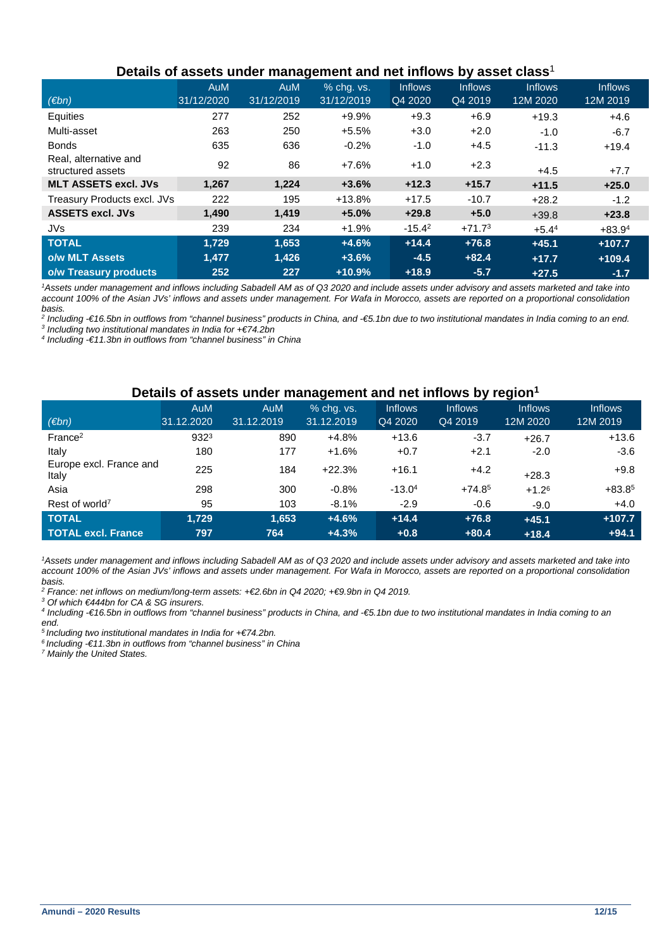| Details of assets under management and net inflows by asset class b |            |            |            |                |                |          |                |  |  |
|---------------------------------------------------------------------|------------|------------|------------|----------------|----------------|----------|----------------|--|--|
|                                                                     | <b>AuM</b> | <b>AuM</b> | % chq. vs. | <b>Inflows</b> | <b>Inflows</b> | Inflows  | <b>Inflows</b> |  |  |
| (Ebn)                                                               | 31/12/2020 | 31/12/2019 | 31/12/2019 | Q4 2020        | Q4 2019        | 12M 2020 | 12M 2019       |  |  |
| Equities                                                            | 277        | 252        | +9.9%      | $+9.3$         | $+6.9$         | $+19.3$  | $+4.6$         |  |  |
| Multi-asset                                                         | 263        | 250        | $+5.5%$    | $+3.0$         | $+2.0$         | $-1.0$   | $-6.7$         |  |  |
| <b>Bonds</b>                                                        | 635        | 636        | $-0.2%$    | $-1.0$         | $+4.5$         | $-11.3$  | $+19.4$        |  |  |
| Real, alternative and<br>structured assets                          | 92         | 86         | $+7.6%$    | $+1.0$         | $+2.3$         | $+4.5$   | $+7.7$         |  |  |
| <b>MLT ASSETS excl. JVs</b>                                         | 1,267      | 1,224      | $+3.6%$    | $+12.3$        | $+15.7$        | $+11.5$  | $+25.0$        |  |  |
| Treasury Products excl. JVs                                         | 222        | 195        | $+13.8%$   | $+17.5$        | $-10.7$        | $+28.2$  | $-1.2$         |  |  |
| <b>ASSETS excl. JVs</b>                                             | 1,490      | 1,419      | $+5.0%$    | $+29.8$        | $+5.0$         | $+39.8$  | $+23.8$        |  |  |
| <b>JVs</b>                                                          | 239        | 234        | $+1.9%$    | $-15.4^2$      | $+71.73$       | $+5.44$  | $+83.94$       |  |  |
| <b>TOTAL</b>                                                        | 1.729      | 1.653      | $+4.6%$    | $+14.4$        | $+76.8$        | $+45.1$  | $+107.7$       |  |  |
| o/w MLT Assets                                                      | 1,477      | 1,426      | $+3.6%$    | $-4.5$         | $+82.4$        | $+17.7$  | $+109.4$       |  |  |
| o/w Treasury products                                               | 252        | 227        | $+10.9%$   | $+18.9$        | $-5.7$         | $+27.5$  | $-1.7$         |  |  |

# **Details of assets under management and net inflows by asset class**<sup>1</sup>

<sup>1</sup>Assets under management and inflows including Sabadell AM as of Q3 2020 and include assets under advisory and assets marketed and take into account 100% of the Asian JVs' inflows and assets under management. For Wafa in Morocco, assets are reported on a proportional consolidation basis.

<sup>2</sup> Including €16.5bn in outflows from "channel business" products in China, and €5.1bn due to two institutional mandates in India coming to an end.

<sup>3</sup> Including two institutional mandates in India for  $+€74.2$ bn

4 Including -€11.3bn in outflows from "channel business" in China

# **Details of assets under management and net inflows by region<sup>1</sup>**

|                                  | <b>AuM</b> | <b>AuM</b> | % chg. vs. | <b>Inflows</b> | <b>Inflows</b> | <b>Inflows</b> | <b>Inflows</b> |
|----------------------------------|------------|------------|------------|----------------|----------------|----------------|----------------|
| (Ebn)                            | 31.12.2020 | 31.12.2019 | 31.12.2019 | Q4 2020        | Q4 2019        | 12M 2020       | 12M 2019       |
| France <sup>2</sup>              | 9323       | 890        | $+4.8%$    | $+13.6$        | $-3.7$         | $+26.7$        | $+13.6$        |
| Italy                            | 180        | 177        | $+1.6%$    | $+0.7$         | $+2.1$         | $-2.0$         | $-3.6$         |
| Europe excl. France and<br>Italy | 225        | 184        | $+22.3%$   | $+16.1$        | $+4.2$         | $+28.3$        | $+9.8$         |
| Asia                             | 298        | 300        | $-0.8%$    | $-13.04$       | $+74.85$       | $+1.26$        | $+83.85$       |
| Rest of world <sup>7</sup>       | 95         | 103        | $-8.1%$    | $-2.9$         | $-0.6$         | $-9.0$         | $+4.0$         |
| <b>TOTAL</b>                     | 1,729      | 1,653      | $+4.6%$    | $+14.4$        | $+76.8$        | $+45.1$        | $+107.7$       |
| <b>TOTAL excl. France.</b>       | 797        | 764        | $+4.3%$    | $+0.8$         | $+80.4$        | $+18.4$        | $+94.1$        |

<sup>1</sup>Assets under management and inflows including Sabadell AM as of Q3 2020 and include assets under advisory and assets marketed and take into account 100% of the Asian JVs' inflows and assets under management. For Wafa in Morocco, assets are reported on a proportional consolidation basis.

<sup>2</sup> France: net inflows on medium/long-term assets: +€2.6bn in Q4 2020; +€9.9bn in Q4 2019.

3 Of which €444bn for CA & SG insurers.

4 Including -€16.5bn in outflows from "channel business" products in China, and -€5.1bn due to two institutional mandates in India coming to an end.

 $5$  Including two institutional mandates in India for  $+€74.2$ bn.

 $6$  Including  $-6$ 11.3bn in outflows from "channel business" in China

<sup>7</sup> Mainly the United States.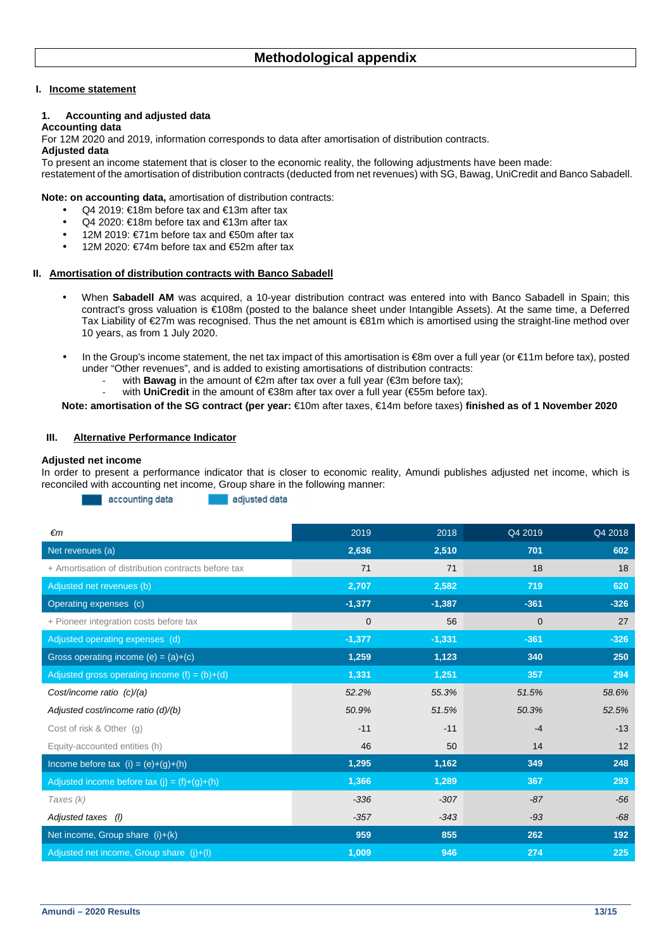#### **I. Income statement**

#### **1. Accounting and adjusted data**

#### **Accounting data**

For 12M 2020 and 2019, information corresponds to data after amortisation of distribution contracts.

#### **Adjusted data**

To present an income statement that is closer to the economic reality, the following adjustments have been made: restatement of the amortisation of distribution contracts (deducted from net revenues) with SG, Bawag, UniCredit and Banco Sabadell.

**Note: on accounting data,** amortisation of distribution contracts:

- Q4 2019: €18m before tax and €13m after tax
- Q4 2020: €18m before tax and €13m after tax
- 12M 2019: €71m before tax and €50m after tax
- 12M 2020: €74m before tax and €52m after tax

#### **II. Amortisation of distribution contracts with Banco Sabadell**

- When Sabadell AM was acquired, a 10-year distribution contract was entered into with Banco Sabadell in Spain; this contract's gross valuation is €108m (posted to the balance sheet under Intangible Assets). At the same time, a Deferred Tax Liability of €27m was recognised. Thus the net amount is €81m which is amortised using the straight-line method over 10 years, as from 1 July 2020.
- In the Group's income statement, the net tax impact of this amortisation is €8m over a full year (or €11m before tax), posted under "Other revenues", and is added to existing amortisations of distribution contracts:
	- with **Bawag** in the amount of €2m after tax over a full year (€3m before tax);
	- with **UniCredit** in the amount of €38m after tax over a full year (€55m before tax).

**Note: amortisation of the SG contract (per year:** €10m after taxes, €14m before taxes) **finished as of 1 November 2020** 

#### **III. Alternative Performance Indicator**

#### **Adjusted net income**

In order to present a performance indicator that is closer to economic reality, Amundi publishes adjusted net income, which is reconciled with accounting net income, Group share in the following manner:

> accounting data adjusted data

| $\epsilon$ m                                        | 2019     | 2018     | Q4 2019     | Q4 2018 |
|-----------------------------------------------------|----------|----------|-------------|---------|
| Net revenues (a)                                    | 2,636    | 2,510    | 701         | 602     |
| + Amortisation of distribution contracts before tax | 71       | 71       | 18          | 18      |
| Adjusted net revenues (b)                           | 2,707    | 2,582    | 719         | 620     |
| Operating expenses (c)                              | $-1,377$ | $-1,387$ | $-361$      | $-326$  |
| + Pioneer integration costs before tax              | 0        | 56       | $\mathbf 0$ | 27      |
| Adjusted operating expenses (d)                     | $-1,377$ | $-1,331$ | $-361$      | $-326$  |
| Gross operating income $(e) = (a)+(c)$              | 1,259    | 1,123    | 340         | 250     |
| Adjusted gross operating income $(f) = (b)+(d)$     | 1,331    | 1,251    | 357         | 294     |
| Cost/income ratio (c)/(a)                           | 52.2%    | 55.3%    | 51.5%       | 58.6%   |
| Adjusted cost/income ratio (d)/(b)                  | 50.9%    | 51.5%    | 50.3%       | 52.5%   |
| Cost of risk & Other (q)                            | $-11$    | $-11$    | $-4$        | $-13$   |
| Equity-accounted entities (h)                       | 46       | 50       | 14          | 12      |
| Income before tax $(i) = (e)+(g)+(h)$               | 1,295    | 1,162    | 349         | 248     |
| Adjusted income before tax $(j) = (f)+(g)+(h)$      | 1,366    | 1,289    | 367         | 293     |
| Taxes (k)                                           | $-336$   | $-307$   | $-87$       | $-56$   |
| Adjusted taxes (I)                                  | $-357$   | $-343$   | $-93$       | $-68$   |
| Net income, Group share (i)+(k)                     | 959      | 855      | 262         | 192     |
| Adjusted net income, Group share (j)+(l)            | 1,009    | 946      | 274         | 225     |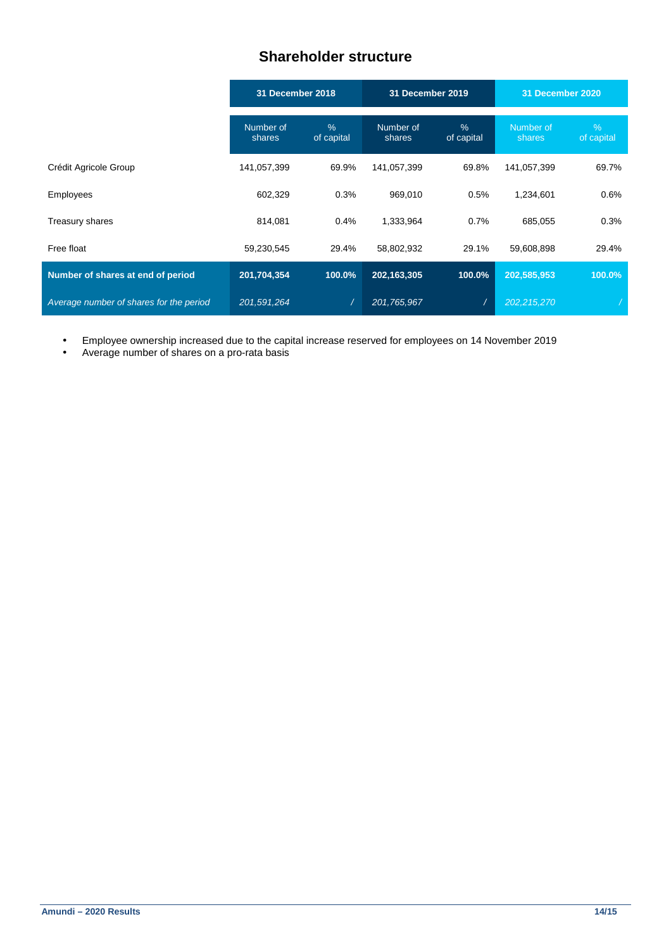# **Shareholder structure**

|                                         | <b>31 December 2018</b> |                    | <b>31 December 2019</b> |                    | 31 December 2020    |                 |
|-----------------------------------------|-------------------------|--------------------|-------------------------|--------------------|---------------------|-----------------|
|                                         | Number of<br>shares     | $\%$<br>of capital | Number of<br>shares     | $\%$<br>of capital | Number of<br>shares | %<br>of capital |
| Crédit Agricole Group                   | 141,057,399             | 69.9%              | 141,057,399             | 69.8%              | 141,057,399         | 69.7%           |
| Employees                               | 602,329                 | 0.3%               | 969,010                 | 0.5%               | 1,234,601           | 0.6%            |
| Treasury shares                         | 814,081                 | 0.4%               | 1,333,964               | 0.7%               | 685,055             | 0.3%            |
| Free float                              | 59,230,545              | 29.4%              | 58,802,932              | 29.1%              | 59,608,898          | 29.4%           |
| Number of shares at end of period       | 201,704,354             | 100.0%             | 202,163,305             | 100.0%             | 202,585,953         | 100.0%          |
| Average number of shares for the period | 201,591,264             |                    | 201,765,967             |                    | 202,215,270         |                 |

• Employee ownership increased due to the capital increase reserved for employees on 14 November 2019

• Average number of shares on a pro-rata basis